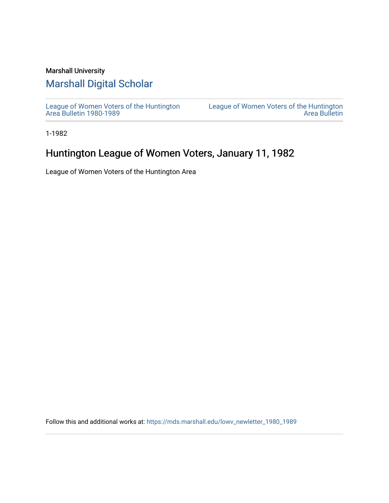### Marshall University

## [Marshall Digital Scholar](https://mds.marshall.edu/)

[League of Women Voters of the Huntington](https://mds.marshall.edu/lowv_newletter_1980_1989) [Area Bulletin 1980-1989](https://mds.marshall.edu/lowv_newletter_1980_1989) 

[League of Women Voters of the Huntington](https://mds.marshall.edu/lowv_newsletter)  [Area Bulletin](https://mds.marshall.edu/lowv_newsletter) 

1-1982

# Huntington League of Women Voters, January 11, 1982

League of Women Voters of the Huntington Area

Follow this and additional works at: [https://mds.marshall.edu/lowv\\_newletter\\_1980\\_1989](https://mds.marshall.edu/lowv_newletter_1980_1989?utm_source=mds.marshall.edu%2Flowv_newletter_1980_1989%2F24&utm_medium=PDF&utm_campaign=PDFCoverPages)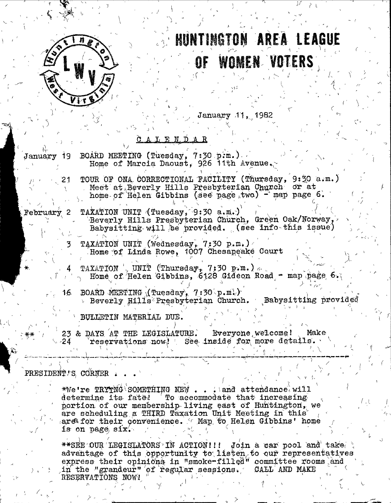

# HUNTINGTON AREA L **WOMEN VOTERS** <u>OF</u>

January 11, 1982

### A L E N D A R

BOARD MEETING (Tuesday, 7:30 p.m.). January 19 Home of Marcia Daoust, 926 11th Avenue. TOUR OF ONA CORRECTIONAL FACILITY (Thursday, 9:30 a.m.) 21 Meet at Beverly Hills Presbyterian Church or at home of Helen Gibbins (see page two) - map page 6. TAXATION UNIT (Tuesday, 9:30 a.m.) February 2 Beverly Hills Presbyterian Church, Green Oak/Norway, Babysitting will be provided. (see info this issue) TAXÁTION UNIT (Wednesday, 7:30 p.m.)<br>Home of Linda Rowe, 1007 Chesapeake Court TAXATION  $\sqrt{ }$  UNIT (Thursday, 7:30 p.m.). Home of Helen Gibbins, 6128 Gideon Road - map page 6. BOARD MEETING (Tuesday, 7:30 p.m.) 16. > Beverly Hills Presbyterian Church. Babysitting provided BULLETIN MATERIAL DUE. 23 & DAYS AT THE LEGISLATURE. Everyone welcome! Make reservations now! See inside for more details. 24 PRESIDENT'S CORNER

\*We're  $\text{TRYTNG}$  SOMETHING NEW . . . and attendance will To accommodate that increasing determine its fate! portion of our membership living east of Huntington, we are scheduling a THIRD Taxation Unit Meeting in this area for their convenience. Than to Helen Gibbins' home is on page  $\texttt{six}'$ .

\*\*SEE OUR LEGISLATORS IN ACTION!!! Join a car pool and take advantage of this opportunity to listen to our representatives express their opinions in "smoke-filled" committee rooms and in the "grandeur" of regular sessions. CALL AND MAKE RESERVATIONS NOW!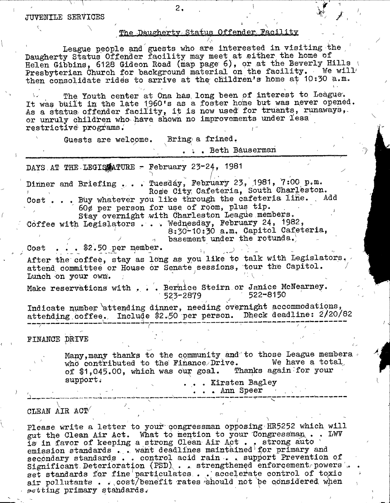#### **JUTEHIIE SERVICES**

### The Daugherty Status Offender Facility

**/**

 $\ddot{\phantom{1}}$ 

**I**

 $\lambda$ <sup>'</sup> **League people and guests who are interested in visiting the** Daugherty Status Offender facility may meet at either the home of Helen Gibbins, 6128 Gideon Road (map page 6), or at the Beverly Hills Presbyterian Church for background material on the facility. We will then consolidate rides to arrive at the children's home at 10:30 a.m.

2 **.**

The Youth center at Ona has long been of interest to League. It was built in the late 1960's as a foster home but was never opened. As a status offender facility, it is now used for truants, runaways,or unruly children who have shown no improvements under less,  $\texttt{restrictive}$   $\texttt{progressive}$ .

Guests are welcome. Bring a frined.

**. i . Beth Bausermah**

DAYS AT THE LEGISATURE - February 23-24, 1981

Dinner and Briefing . . . Tuesday, February 23, 1981, 7:00 p.m. Rose City Cafeteria, South Charleston. Cost . . . Buy whatever you like through the cafeteria line. Add 60¢ per person for use of room, plus tip. Stay overnight with Charleston League members. Coffee with Legislators . . . Wednesday, February 24, 1982,

8:30-10:30 a.m. Capitol Cafeteria,  $\alpha$  basement under the rotunda.)

**Cost . . . \$2.50 per member.** 

A fter the coffee, stay as long as you like to talk with L egislators. attend committee or House or Senate sessions, tour the Capitol. Lunch on your own.

Make reservations with . . . Berhice Steirn or Janice McNearney.<br>523-2879 **622-8150 523-2879 ^ ^ 522-8150**

Indicate number attending dinner, needing overnight accommodations, attending coffee. Include \$2.50 per person. Dheck deadline: 2/20/82 **. . '** 4**- -r —: - 7— '**

**FIHAHCE** *ppiTB* **- . ^ -**

**Many,many thanks to the community and to those League members <** who contributed to the Finance Drive. We have a total of \$1,045.00, which was our goal. Thanks again for your support.<br> **support,**<br> **example 1.1 and 2.1 and 2.1 and 2.1 and 2.1 and 2.1 and 2.1 and 2.1 and 2.1 and 2.1 and 2.1 and 2.1 and 2.1 and 2.1 and 2.1 and 2.1 and 2.1 and 2.1 and 2.1 and 2.1 and 2.1 and 2.1 and 2.1 and 2.1 and** 

**, , - ' ' . . . Ann Speer - , .' ■ '**

 $\sqrt{2\pi}$   $\sqrt{2\pi}$   $\sqrt{2\pi}$ **CLBAH AIR act/ , ' " •**

Please write a letter to your congressman opposing HR5252 which will gut the Clean Air Act. What to mention to your Congressman, . . LWV is in favor of keeping a strong Clean Air Act. , strong auto emission standards . . want deadlines maintained for primary and secondary standards . . control acid rain . . support Prevention of Significant Deterioration (PSD) . . strengthened enforcement powers . set standards for fine particulates . . accelerate control of toxic air pollutants . . . cost/benefit rates should not be considered when  $setting primary standards.$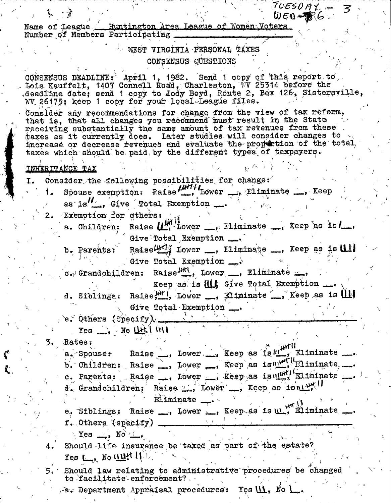| $TUESDAY-F3$                                                                                                                                  |
|-----------------------------------------------------------------------------------------------------------------------------------------------|
| $W EQ - R6$<br>Name of League ._ Huntington Area League of Women Voters                                                                       |
| Number of Members Participating                                                                                                               |
| WEST VIRGINIA PERSONAL TAXES                                                                                                                  |
| CONSENSUS QUESTIONS                                                                                                                           |
|                                                                                                                                               |
| CONSENSUS DEADLINE: April 1, 1982. Send 1 copy of this report to                                                                              |
| Lois Kauffelt, 1407 Connell Road, Charleston, WV 25314 before the<br>deadline date; send 1 copy to Jody Boyd, Route 2, Box 126, Sistersyille, |
| WV 26175; keep 1 copy for your local League files.                                                                                            |
| Consider any recommendations for change from the view of tax reform,                                                                          |
| that is, that all changes you recommend must result in the State<br>receiving substantially the same amount of tax revenues from these        |
| taxes as it currently does. Later studies will consider changes to $_{10}$                                                                    |
| increase or decrease revenues and evaluate the propertion of the total,<br>taxes which should be paid by the different types of taxpayers.    |
|                                                                                                                                               |
| <b>INHERITANCE TAX</b>                                                                                                                        |
| Consider the following possibilities for change:<br>I.                                                                                        |
| Spouse exemption: Raise in Lower  Eliminate  Keep                                                                                             |
| as is $'$ , Give Total Exemption                                                                                                              |
| 2. Exemption for athers:                                                                                                                      |
| a. Children: Raise $\left(\mathbf{L}_{1}^{W}\right)$ hower $\sum_{i}$ Eliminate $\sum_{i}$ Keep as is/                                        |
| $\sim$ Give Dotal Exemption $\_\bullet$                                                                                                       |
| b. Parents: Raise 47 Lower , Eliminate , Keep as is ull                                                                                       |
| . Give Total Exemption $\longrightarrow$                                                                                                      |
| $\sigma_{\epsilon}$ Grandchildren: Raise $\frac{\mu_{\text{H}}}{\sigma}$ , Lower ___, Eliminate __,                                           |
| Keep as is <b>ill</b> Give Total Exemption                                                                                                    |
| d. Siblings: Raise, M', Lower _, Eliminate _, Keep as is                                                                                      |
| Give Total Exemption                                                                                                                          |
| e. Others $(Specify)$ .                                                                                                                       |
| $Yes \rightarrow No \downarrow \downarrow \downarrow \downarrow \uparrow \uparrow \uparrow \uparrow$                                          |
| Rates:<br>3.                                                                                                                                  |
| a Spouse: Raise Dower  Xeep as islut Eliminate                                                                                                |
| b. Children: Raise , Lower , Keep as is unit Eliminate.                                                                                       |
| c. Parents: Raise , Lower , Keep as is until Eliminate                                                                                        |
| $d'$ . Grandchildren: Raise $\mathcal{L}_{\mathbf{a}}$ Lower $\mathbf{a}$ , Keep as is $\mathbf{a}$                                           |
| Eliminate _                                                                                                                                   |
| e, Siblings: Raise , Lower , Keep as is ul, Eliminate.                                                                                        |
| f. Others (specify)                                                                                                                           |
| Yes $\perp$ , No $\perp$ .                                                                                                                    |
| Should life insurance be taxed as part of the estate?<br>4.                                                                                   |
| $Tes$ $L_2$ , No $11$                                                                                                                         |
| Should law relating to administrative procedures be changed<br>to facilitate enforcement?                                                     |
| , a. Department Appraisal procedures: Yes $\mathsf{U\!I}$ , No $\mathsf{L}_\bullet$ .                                                         |

 $\zeta$ 

 $\frac{1}{2}$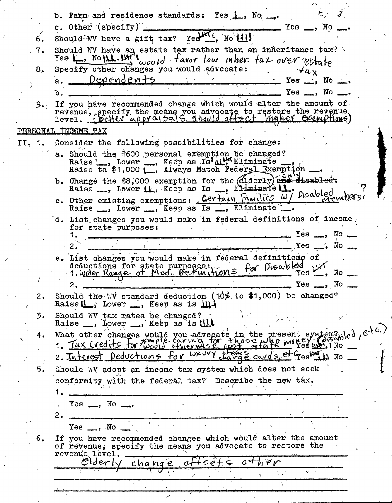b. Farm- and residence standards: Yes 1, No .... c. Other (specify)  $Yes \_\_\_$ , No Should-WV have a gift tax? Yesterl, No |11) 6. Should W have an estate tax rather than an inheritance tax?<br>Yes  $\Box$ , No  $\mathbf{11}$ .  $\mathbf{1}$  $\mathbf{1}_{\omega o}$ ,  $\mathbf{1}_{\omega o}$  favor low where fax over estate<br>Specify other changes you would advocate:  $\mathcal{A}_{\alpha}$  $7.$ 8.  $Dependent$ +5 Yes  $\Box$ , No  $\Box$ ,  $a.$  $Yes \t M$ b. If you have recommended change which would alter the amount of  $9.1$ revenue, specify the means you advocate to restore the revenue<br>level. (beHer approisals, the light offert winner exemptions) PERSONAL INCOME TAX Consider the following possibilities for change: II. 1. a. Should the \$600 personal exemption be changed?<br>Raise , Lower , Keep as Is'uly Eliminate<br>Raise to \$1,000 , Always Match Federal Exemption b. Change the \$8,000 exemption for the (diderly) and disabled: Raise ...., Lower II., Keep as Is ..., Eliminate II. c. Other existing exemptions: Certain Families w/ Disabled members! Raise \_, Lower \_, Keep as Is \_, Eliminate d. List changes you would make in federal definitions of income for state purposes:  $\sim$ , No. Yes ", No res \_ e. List changes you would make in federal definitions of Yes Lit deductions for state purposes:<br>1. Wrder Range of Med. Definitions for Disabled  $\sim$ , No  $Yes \_\_, No \_\_$ Should the WV standard deduction (10% to \$1,000) be changed?  $2.$ Raise IL , Lower ..., Keep as is III. Should WV tax rates be changed?<br>Raise \_\_, Lower \_\_, Keep as is till  $3.$ What other changes would you advocate in the present system? led, etc. 4. 2. Interest Deductions for weavy thangs cards, of Gestion No 5. Should WV adopt an income tax system which does not seek conformity with the federal tax? Describe the new tax.  $Yes \t\t\t\t\t\t\t\t\t\t\t\t...$ , No  $\t\t\t\t\t\t\t\t\t\t\t\t\t\t\t...$ 2.  $Yes \_\_\_$  . No If you have recommended changes which would alter the amount 6. of revenue, specify the means you advocate to restore the revenue level.  $\mathcal{O}$ lder $\cup$  $heV$  $6+5e$  $a +$ change  $\sim$   $\epsilon$  $\mathcal{L}_{\rm{max}}$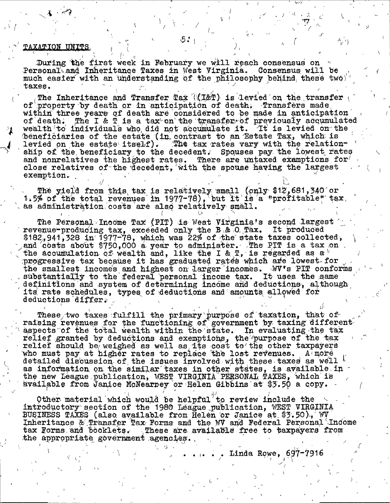#### **TAXATION UNITS**

During the first week in February we will reach consensus on Personal and Inheritance Taxes in West Virginia. Consensus will be much easier with an understanding of the philosophy behind these two taxes.

The Inheritance and Transfer Tax ((I&T) is levied on the transfer of property by death or in anticipation of death. Transfers made within three years of death are considered to be made in anticipation The I & T is a tax on the transfer of previously accumulated of`death. wealth to individuals who did not accumulate it. It is levied on the beneficiaries of the estate (in contrast to an Estate Tax, which is levied on the estate itself). The tax rates vary with the relationship of the beneficiary to the decedent. Spouses pay the lowest rates and nonrelatives the highest rates. There are untaxed examptions for close relatives of the decedent, with the spouse having the largest exemption.

The yield from this tax is relatively small (only \$12,681,340 or<br>1.5% of the total revenues in 1977-78), but it is a "profitable" tax. as administration costs are also relatively small.

The Personal Income Tax (PIT) is West Virginia's second largest revenue-producing tax, exceeded only the B.& O Tax. It produced<br>\$182,941,328 in 1977-78, which was 22% of the state taxes collected,<br>and costs about \$750,000 a year to administer. The PTT is a tax on the accumulation of wealth and, like the I & T, is regarded as a  $\mathfrak b$ progressive tax because it has graduated rates which are lowest for the smallest incomes and highest on larger incomes. WV's PIT conforms substantially to the federal personal income tax. It uses the same definitions and system of determining income and deductions, although its rate schedules, types of deductions and amounts allowed for deductions differ.

These two taxes fulfill the primary purpose of taxation, that of raising revenues for the functioning of government by taxing different aspects of the total wealth within the state. In evaluating the tax relief granted by deductions and exemptions, the purpose of the tax relief should be weighed as well as its cost to the other taxpayers who must pay at higher rates to replace the lost revenues.  $A \in \mathbf{more}$ detailed discussion of the issues involved with these taxes as well b as information on the similar taxes in other states, is available in the new League publication, WEST VIRGINIA PERSONAL TAXES, which is available from Janice McNearney or Helen Gibbins at \$3.50 a copy.

Other material which would be helpful<sup>7</sup> to review include the introductory section of the 1980 League publication, WEST VIRGINIA BUSINESS TAXES (also available from Helen or Janice at \$3.50), WV Inheritance & Transfer Tax Forms and the WV and Federal Personal Income tax Forms and booklets. These are available free to taxpayers from the appropriate government agencies.

. . . . . Linda Rowe,  $697-7916$